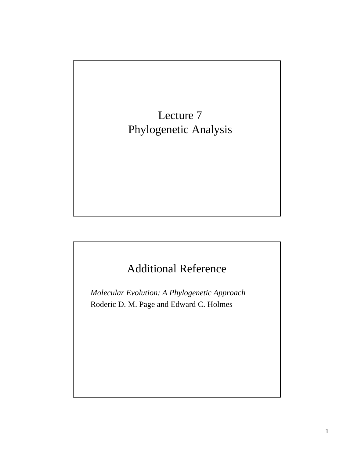Lecture 7 Phylogenetic Analysis

## Additional Reference

*Molecular Evolution: A Phylogenetic Approach* Roderic D. M. Page and Edward C. Holmes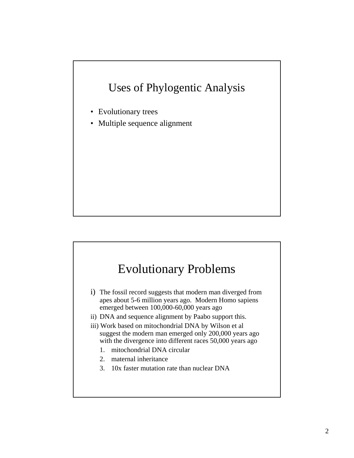### Uses of Phylogentic Analysis

- Evolutionary trees
- Multiple sequence alignment

## Evolutionary Problems

- i) The fossil record suggests that modern man diverged from apes about 5-6 million years ago. Modern Homo sapiens emerged between 100,000-60,000 years ago
- ii) DNA and sequence alignment by Paabo support this.
- iii) Work based on mitochondrial DNA by Wilson et al suggest the modern man emerged only 200,000 years ago with the divergence into different races 50,000 years ago
	- 1. mitochondrial DNA circular
	- 2. maternal inheritance
	- 3. 10x faster mutation rate than nuclear DNA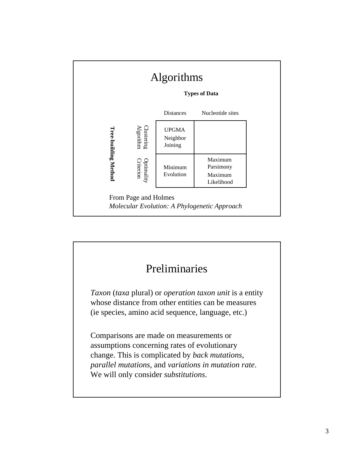

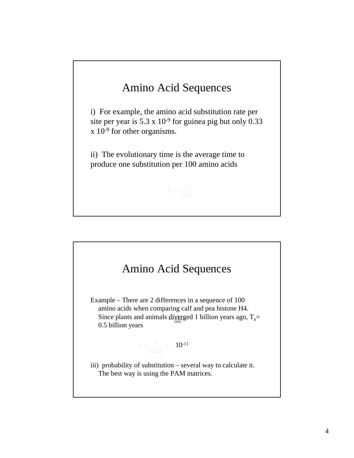

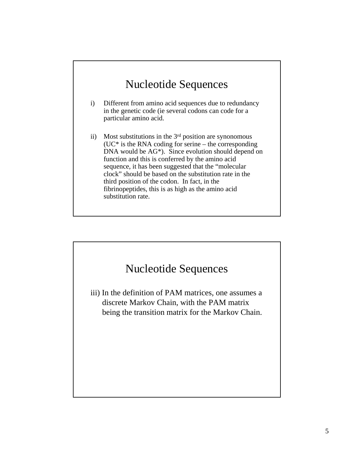### Nucleotide Sequences

- i) Different from amino acid sequences due to redundancy in the genetic code (ie several codons can code for a particular amino acid.
- ii) Most substitutions in the  $3<sup>rd</sup>$  position are synonomous  $(UC^*$  is the RNA coding for serine – the corresponding DNA would be AG\*). Since evolution should depend on function and this is conferred by the amino acid sequence, it has been suggested that the "molecular clock" should be based on the substitution rate in the third position of the codon. In fact, in the fibrinopeptides, this is as high as the amino acid substitution rate.

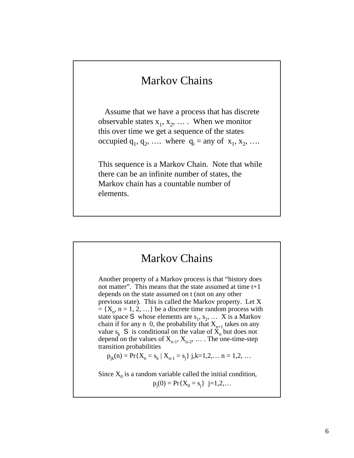### Markov Chains

Assume that we have a process that has discrete observable states  $x_1, x_2, \ldots$ . When we monitor this over time we get a sequence of the states occupied  $q_1, q_2, \ldots$  where  $q_i = \text{any of } x_1, x_2, \ldots$ 

This sequence is a Markov Chain. Note that while there can be an infinite number of states, the Markov chain has a countable number of elements.

### Markov Chains

Another property of a Markov process is that "history does not matter". This means that the state assumed at time t+1 depends on the state assumed on t (not on any other previous state). This is called the Markov property. Let X  $= \{X_n, n = 1, 2, ...\}$  be a discrete time random process with state space S whose elements are  $s_1, s_2, \ldots$  X is a Markov chain if for any n 0, the probability that  $X_{n+1}$  takes on any value  $s_k$  S is conditional on the value of  $\widetilde{X}_n$  but does not depend on the values of  $X_{n-1}$ ,  $X_{n-2}$ , ... The one-time-step transition probabilities

$$
p_{jk}(n) = Pr{X_n = s_k | X_{n-1} = s_j}
$$
 j,k=1,2,... n = 1,2,...

Since  $X_0$  is a random variable called the initial condition,

 $p_j(0) = Pr{X_0 = s_j}$  j=1,2,...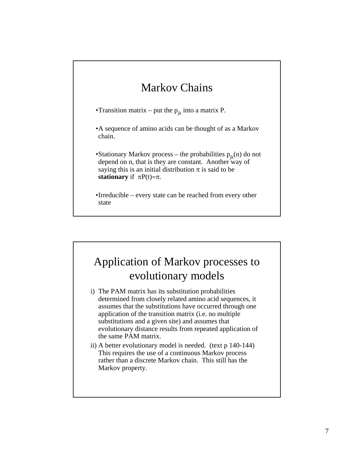## Markov Chains

•Transition matrix – put the  $p_{ik}$  into a matrix P.

•A sequence of amino acids can be thought of as a Markov chain.

•Stationary Markov process – the probabilities  $p_{ik}(n)$  do not depend on n, that is they are constant. Another way of saying this is an initial distribution  $\pi$  is said to be **stationary** if  $\pi P(t)=\pi$ .

•Irreducible – every state can be reached from every other state

### Application of Markov processes to evolutionary models

- i) The PAM matrix has its substitution probabilities determined from closely related amino acid sequences, it assumes that the substitutions have occurred through one application of the transition matrix (i.e. no multiple substitutions and a given site) and assumes that evolutionary distance results from repeated application of the same PAM matrix.
- ii) A better evolutionary model is needed. (text p 140-144) This requires the use of a continuous Markov process rather than a discrete Markov chain. This still has the Markov property.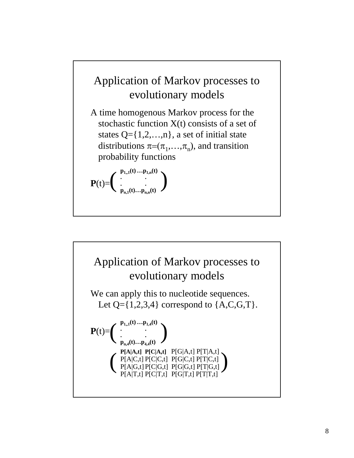## Application of Markov processes to evolutionary models

A time homogenous Markov process for the stochastic function X(t) consists of a set of states  $Q = \{1, 2, \ldots, n\}$ , a set of initial state distributions  $\pi = (\pi_1, \ldots, \pi_n)$ , and transition probability functions

$$
\mathbf{P}(t)\!\!=\!\!\left(\begin{array}{c} \mathbf{p}_{1,n}(t)\ldots\mathbf{p}_{1,n}(t) \\ \vdots \\ \mathbf{p}_{n,1}(t)\ldots\mathbf{p}_{n,n}(t) \end{array}\right)
$$

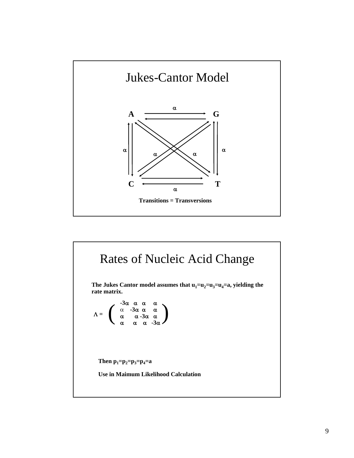

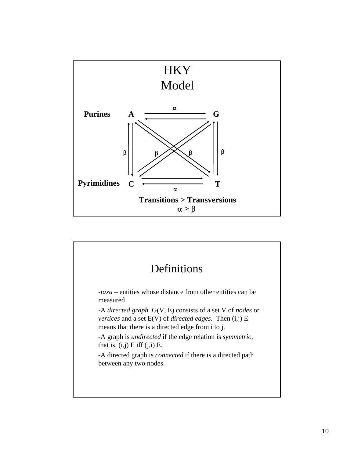

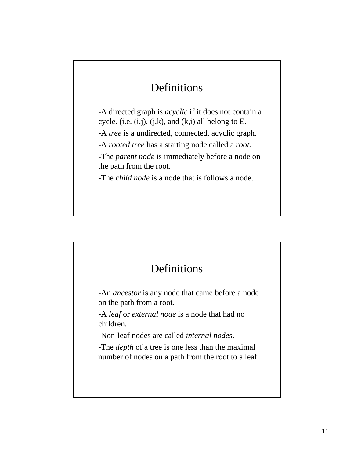## Definitions

-A directed graph is *acyclic* if it does not contain a cycle. (i.e.  $(i,j)$ ,  $(j,k)$ , and  $(k,i)$  all belong to E. -A *tree* is a undirected, connected, acyclic graph*.* -A *rooted tree* has a starting node called a *root*.

-The *parent node* is immediately before a node on the path from the root.

-The *child node* is a node that is follows a node.

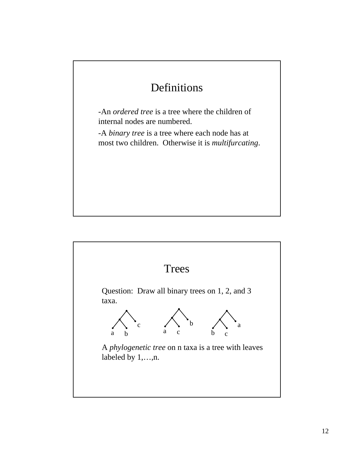## Definitions

-An *ordered tree* is a tree where the children of internal nodes are numbered.

-A *binary tree* is a tree where each node has at most two children. Otherwise it is *multifurcating*.

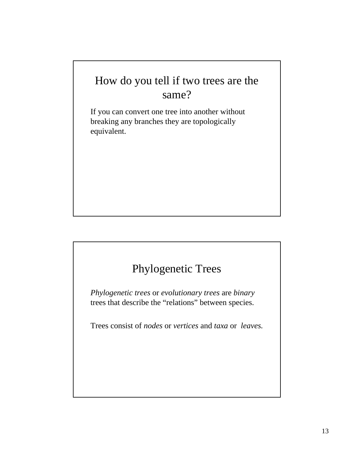## How do you tell if two trees are the same?

If you can convert one tree into another without breaking any branches they are topologically equivalent.

## Phylogenetic Trees

*Phylogenetic trees* or *evolutionary trees* are *binary* trees that describe the "relations" between species.

Trees consist of *nodes* or *vertices* and *taxa* or *leaves.*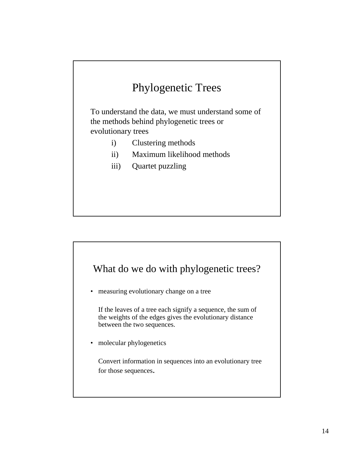## Phylogenetic Trees

To understand the data, we must understand some of the methods behind phylogenetic trees or evolutionary trees

- i) Clustering methods
- ii) Maximum likelihood methods
- iii) Quartet puzzling



• measuring evolutionary change on a tree

If the leaves of a tree each signify a sequence, the sum of the weights of the edges gives the evolutionary distance between the two sequences.

• molecular phylogenetics

Convert information in sequences into an evolutionary tree for those sequences.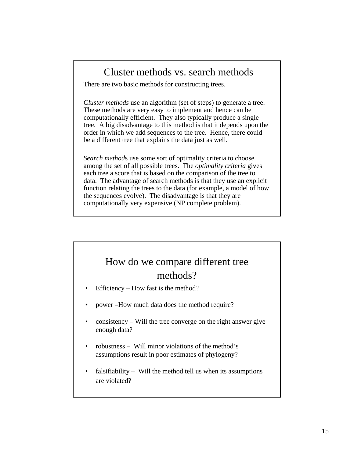### Cluster methods vs. search methods

There are two basic methods for constructing trees.

*Cluster methods* use an algorithm (set of steps) to generate a tree. These methods are very easy to implement and hence can be computationally efficient. They also typically produce a single tree. A big disadvantage to this method is that it depends upon the order in which we add sequences to the tree. Hence, there could be a different tree that explains the data just as well.

*Search method*s use some sort of optimality criteria to choose among the set of all possible trees. The *optimality criteria* gives each tree a score that is based on the comparison of the tree to data. The advantage of search methods is that they use an explicit function relating the trees to the data (for example, a model of how the sequences evolve). The disadvantage is that they are computationally very expensive (NP complete problem).

### How do we compare different tree methods?

- Efficiency How fast is the method?
- power –How much data does the method require?
- $\cos$  is consistency Will the tree converge on the right answer give enough data?
- robustness Will minor violations of the method's assumptions result in poor estimates of phylogeny?
- falsifiability Will the method tell us when its assumptions are violated?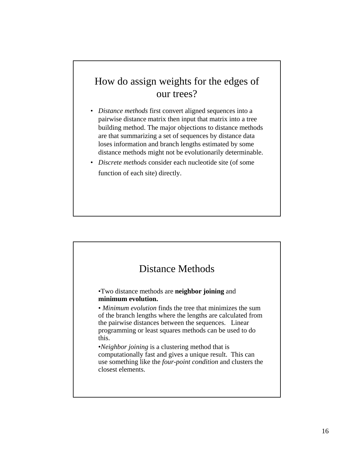### How do assign weights for the edges of our trees?

- *Distance methods* first convert aligned sequences into a pairwise distance matrix then input that matrix into a tree building method. The major objections to distance methods are that summarizing a set of sequences by distance data loses information and branch lengths estimated by some distance methods might not be evolutionarily determinable.
- *Discrete methods* consider each nucleotide site (of some function of each site) directly.

#### Distance Methods •Two distance methods are **neighbor joining** and **minimum evolution.**  • *Minimum evolution* finds the tree that minimizes the sum of the branch lengths where the lengths are calculated from the pairwise distances between the sequences. Linear programming or least squares methods can be used to do this. •*Neighbor joining* is a clustering method that is computationally fast and gives a unique result. This can use something like the *four-point condition* and clusters the

closest elements.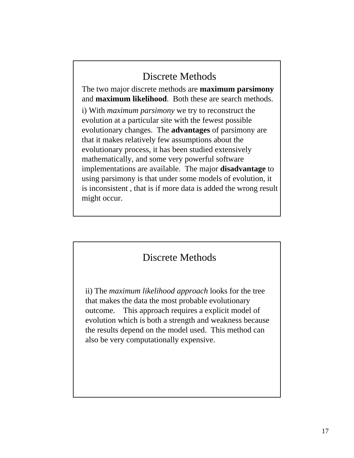### Discrete Methods

The two major discrete methods are **maximum parsimony**  and **maximum likelihood**. Both these are search methods.

i) With *maximum parsimony* we try to reconstruct the evolution at a particular site with the fewest possible evolutionary changes. The **advantages** of parsimony are that it makes relatively few assumptions about the evolutionary process, it has been studied extensively mathematically, and some very powerful software implementations are available. The major **disadvantage** to using parsimony is that under some models of evolution, it is inconsistent , that is if more data is added the wrong result might occur.

### Discrete Methods

ii) The *maximum likelihood approach* looks for the tree that makes the data the most probable evolutionary outcome. This approach requires a explicit model of evolution which is both a strength and weakness because the results depend on the model used. This method can also be very computationally expensive.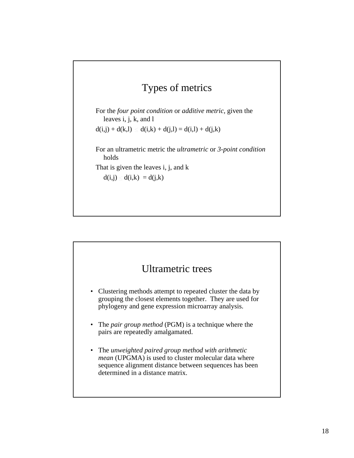### Types of metrics

For the *four point condition* or *additive metric,* given the leaves i, j, k, and l

 $d(i,j) + d(k,l) \leq d(i,k) + d(j,l) = d(i,l) + d(j,k)$ 

For an ultrametric metric the *ultrametric* or *3-point condition* holds

That is given the leaves i, j, and k

 $d(i,j) \leq d(i,k) = d(j,k)$ 

# Ultrametric trees

- Clustering methods attempt to repeated cluster the data by grouping the closest elements together. They are used for phylogeny and gene expression microarray analysis.
- The *pair group method* (PGM) is a technique where the pairs are repeatedly amalgamated.
- The *unweighted paired group method with arithmetic mean* (UPGMA) is used to cluster molecular data where sequence alignment distance between sequences has been determined in a distance matrix.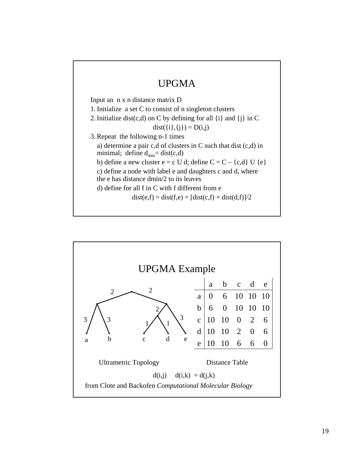

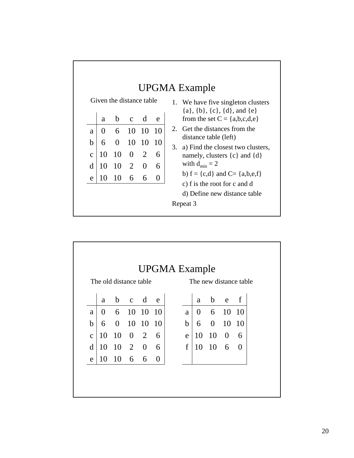| Given the distance table<br>b<br>d<br>$\mathbf{C}$<br>a<br>e<br>6<br>$\overline{10}$<br>10<br>10<br>$\mathbf{0}$<br>a<br>b<br>$\Omega$<br>6<br>10<br>10<br>10<br>$\Omega$<br>2<br>10<br>10<br>6<br>$\mathbf{C}$<br>$10 \quad 2$<br>d<br>10<br>6<br>$\theta$<br>10<br>6<br>6<br>10<br>0<br>e | UPGMA Example<br>1. We have five singleton clusters<br>$\{a\}, \{b\}, \{c\}, \{d\}, \text{and } \{e\}$<br>from the set $C = \{a,b,c,d,e\}$<br>Get the distances from the<br>2.<br>distance table (left)<br>a) Find the closest two clusters,<br>3.<br>namely, clusters $\{c\}$ and $\{d\}$<br>with $d_{\min} = 2$<br>b) $f = \{c,d\}$ and $C = \{a,b,e,f\}$<br>c) f is the root for c and d<br>d) Define new distance table<br>Repeat 3 |
|---------------------------------------------------------------------------------------------------------------------------------------------------------------------------------------------------------------------------------------------------------------------------------------------|-----------------------------------------------------------------------------------------------------------------------------------------------------------------------------------------------------------------------------------------------------------------------------------------------------------------------------------------------------------------------------------------------------------------------------------------|
|---------------------------------------------------------------------------------------------------------------------------------------------------------------------------------------------------------------------------------------------------------------------------------------------|-----------------------------------------------------------------------------------------------------------------------------------------------------------------------------------------------------------------------------------------------------------------------------------------------------------------------------------------------------------------------------------------------------------------------------------------|

٦

|              | The old distance table |                    |            |       |          |             | The new distance table |             |       |          |  |  |
|--------------|------------------------|--------------------|------------|-------|----------|-------------|------------------------|-------------|-------|----------|--|--|
|              | a                      |                    | b c d      |       | e        |             | a                      |             | b e f |          |  |  |
| a            | $\overline{0}$         |                    | 6 10       | 10 10 |          | a           |                        | $0 \quad 6$ | 10    | 10       |  |  |
| $\mathbf b$  |                        | 6 0                | 10 10 10   |       |          | $\mathbf b$ |                        | 6 0 10      |       | 10       |  |  |
| $\mathbf{C}$ | 10                     | 10                 | $0\quad 2$ |       | 6        | e           | 10                     |             | 10 0  | 6        |  |  |
| d            | 10                     | $10\quad 2\quad 0$ |            |       | 6        | $\mathbf f$ | 10                     | 10          | 6     | $\Omega$ |  |  |
| e            | 10                     | $10 \t 6 \t 6$     |            |       | $\theta$ |             |                        |             |       |          |  |  |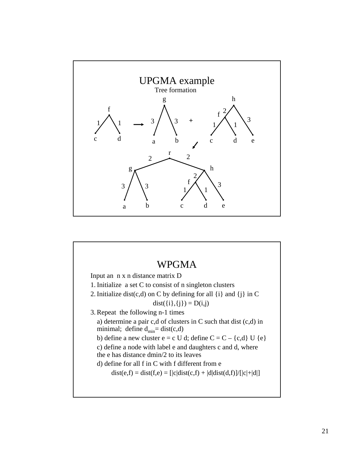

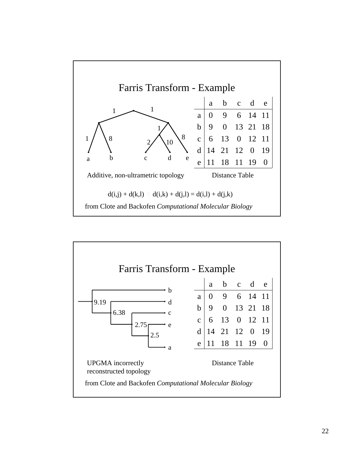

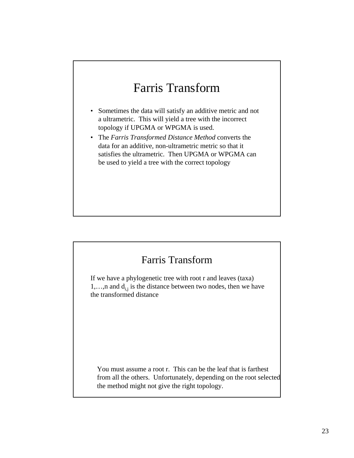# Farris Transform

- Sometimes the data will satisfy an additive metric and not a ultrametric. This will yield a tree with the incorrect topology if UPGMA or WPGMA is used.
- The *Farris Transformed Distance Method* converts the data for an additive, non-ultrametric metric so that it satisfies the ultrametric. Then UPGMA or WPGMA can be used to yield a tree with the correct topology

### Farris Transform

If we have a phylogenetic tree with root r and leaves (taxa) 1,...,n and  $d_{i,j}$  is the distance between two nodes, then we have the transformed distance

You must assume a root r. This can be the leaf that is farthest from all the others. Unfortunately, depending on the root selected the method might not give the right topology.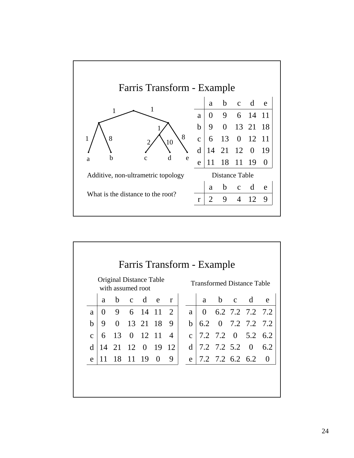

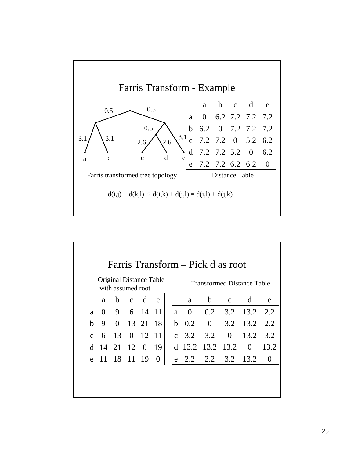

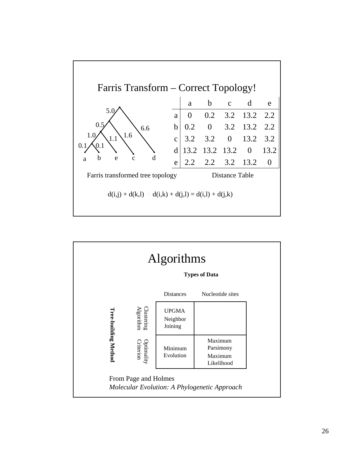

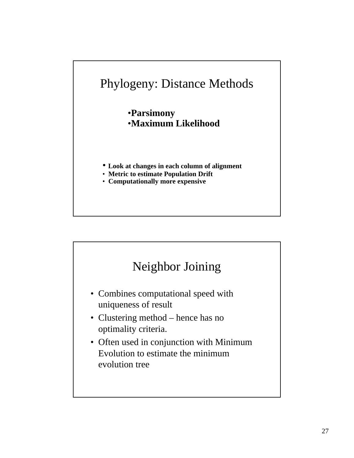

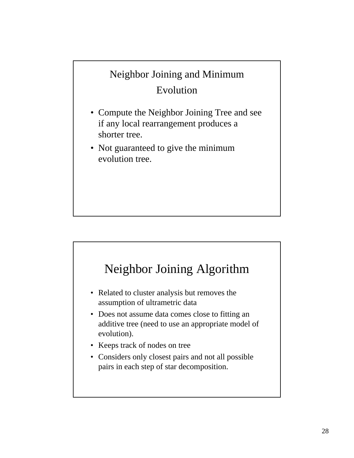## Neighbor Joining and Minimum Evolution

- Compute the Neighbor Joining Tree and see if any local rearrangement produces a shorter tree.
- Not guaranteed to give the minimum evolution tree.



- Related to cluster analysis but removes the assumption of ultrametric data
- Does not assume data comes close to fitting an additive tree (need to use an appropriate model of evolution).
- Keeps track of nodes on tree
- Considers only closest pairs and not all possible pairs in each step of star decomposition.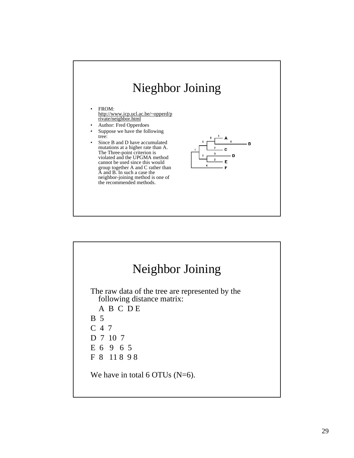

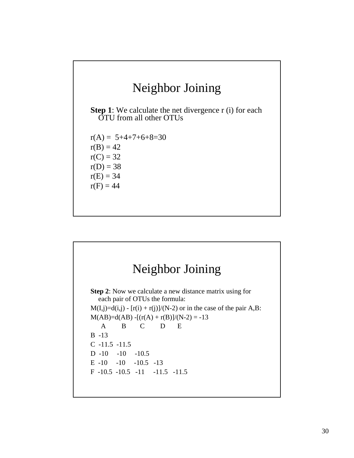# Neighbor Joining

**Step 1**: We calculate the net divergence r (i) for each OTU from all other OTUs

 $r(A) = 5+4+7+6+8=30$  $r(B) = 42$  $r(C) = 32$  $r(D) = 38$  $r(E) = 34$  $r(F) = 44$ 

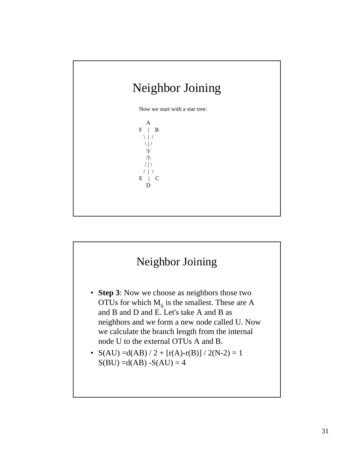

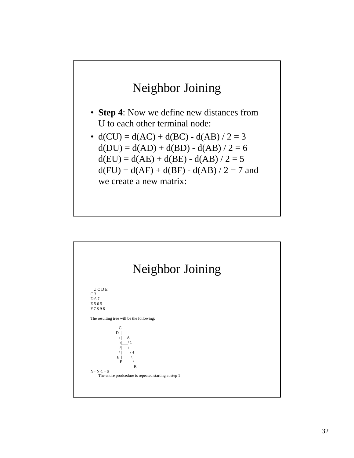

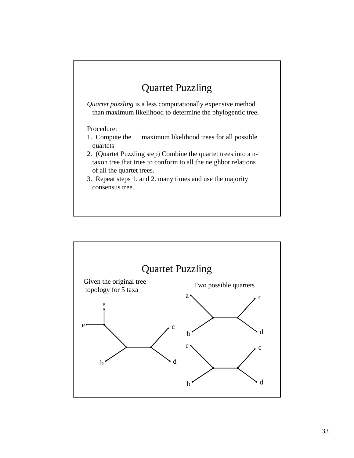## Quartet Puzzling

*Quartet puzzling* is a less computationally expensive method than maximum likelihood to determine the phylogentic tree.

Procedure:

- 1. Compute the  $\left(\frac{1}{4}\right)$  maximum likelihood trees for all possible quartets
- 2. (Quartet Puzzling step) Combine the quartet trees into a ntaxon tree that tries to conform to all the neighbor relations of all the quartet trees.
- 3. Repeat steps 1. and 2. many times and use the majority consensus tree.

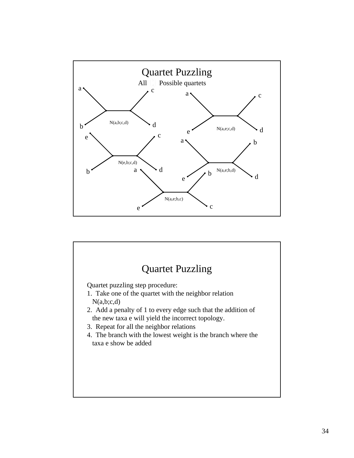

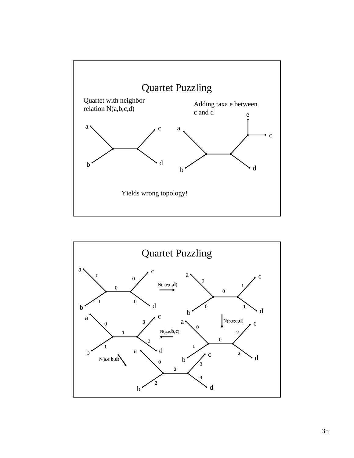

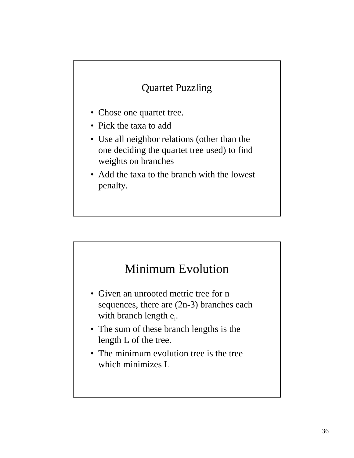### Quartet Puzzling

- Chose one quartet tree.
- Pick the taxa to add
- Use all neighbor relations (other than the one deciding the quartet tree used) to find weights on branches
- Add the taxa to the branch with the lowest penalty.

## Minimum Evolution

- Given an unrooted metric tree for n sequences, there are (2n-3) branches each with branch length e<sub>i</sub>.
- The sum of these branch lengths is the length L of the tree.
- The minimum evolution tree is the tree which minimizes L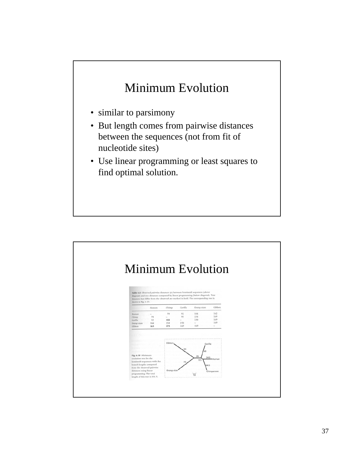# Minimum Evolution

- similar to parsimony
- But length comes from pairwise distances between the sequences (not from fit of nucleotide sites)
- Use linear programming or least squares to find optimal solution.

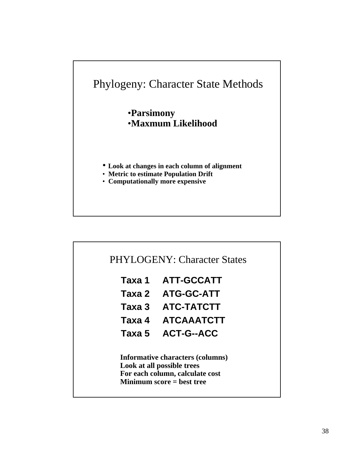

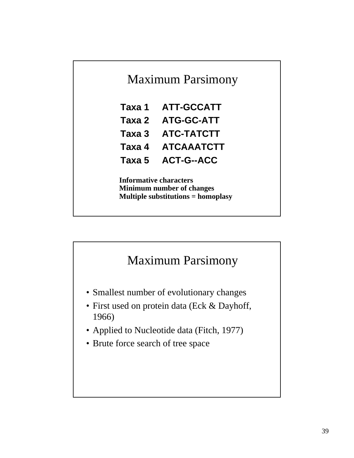

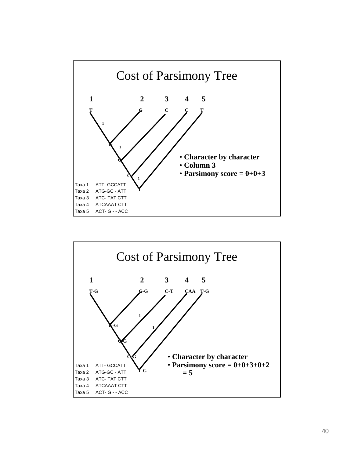

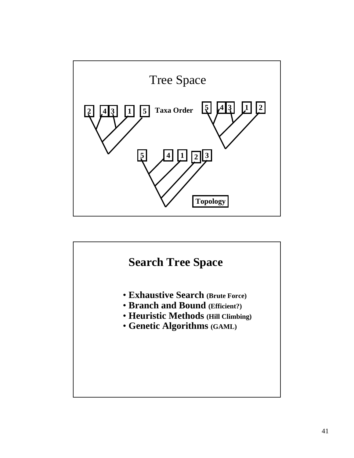

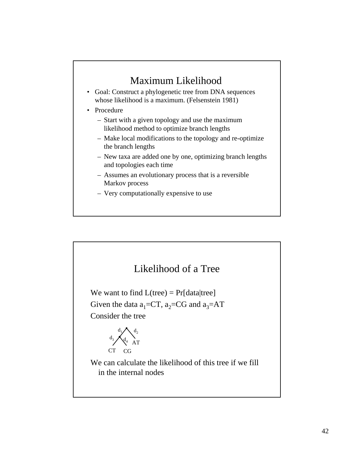### Maximum Likelihood

- Goal: Construct a phylogenetic tree from DNA sequences whose likelihood is a maximum. (Felsenstein 1981)
- Procedure
	- Start with a given topology and use the maximum likelihood method to optimize branch lengths
	- Make local modifications to the topology and re-optimize the branch lengths
	- New taxa are added one by one, optimizing branch lengths and topologies each time
	- Assumes an evolutionary process that is a reversible Markov process
	- Very computationally expensive to use

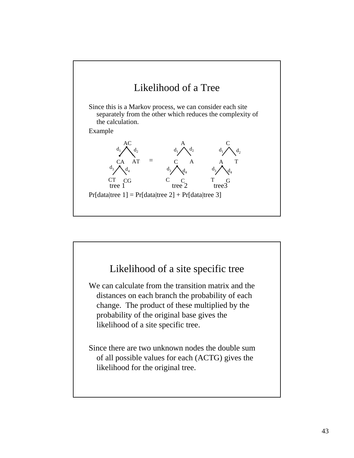

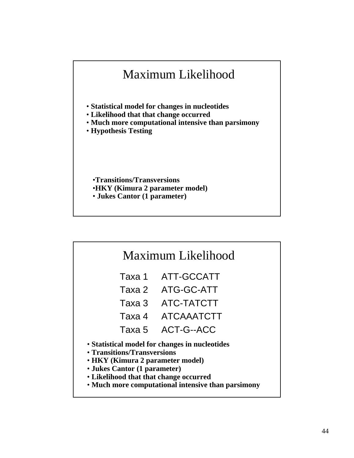

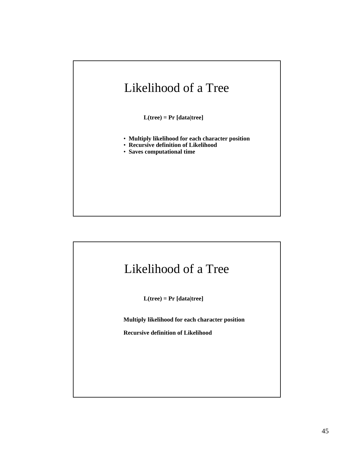